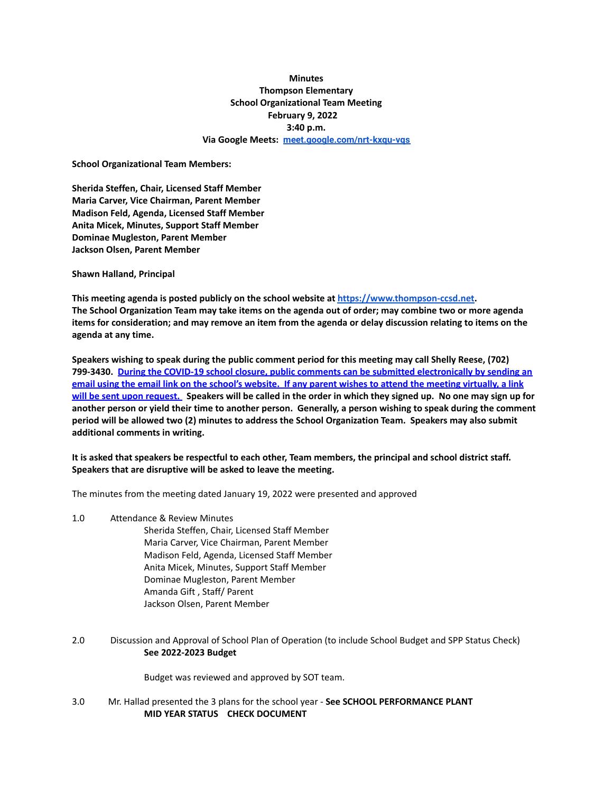## **Minutes Thompson Elementary School Organizational Team Meeting February 9, 2022 3:40 p.m. Via Google Meets: [meet.google.com/nrt-kxqu-vqs](http://meet.google.com/nrt-kxqu-vqs)**

**School Organizational Team Members:**

**Sherida Steffen, Chair, Licensed Staff Member Maria Carver, Vice Chairman, Parent Member Madison Feld, Agenda, Licensed Staff Member Anita Micek, Minutes, Support Staff Member Dominae Mugleston, Parent Member Jackson Olsen, Parent Member**

**Shawn Halland, Principal**

**This meeting agenda is posted publicly on the school website at <https://www.thompson-ccsd.net>.** The School Organization Team may take items on the agenda out of order; may combine two or more agenda items for consideration; and may remove an item from the agenda or delay discussion relating to items on the **agenda at any time.**

**Speakers wishing to speak during the public comment period for this meeting may call Shelly Reese, (702) 799-3430. During the COVID-19 school closure, public comments can be submitted electronically by sending an** email using the email link on the school's website. If any parent wishes to attend the meeting virtually, a link will be sent upon request. Speakers will be called in the order in which they signed up. No one may sign up for another person or yield their time to another person. Generally, a person wishing to speak during the comment **period will be allowed two (2) minutes to address the School Organization Team. Speakers may also submit additional comments in writing.**

It is asked that speakers be respectful to each other, Team members, the principal and school district staff. **Speakers that are disruptive will be asked to leave the meeting.**

The minutes from the meeting dated January 19, 2022 were presented and approved

1.0 Attendance & Review Minutes

Sherida Steffen, Chair, Licensed Staff Member Maria Carver, Vice Chairman, Parent Member Madison Feld, Agenda, Licensed Staff Member Anita Micek, Minutes, Support Staff Member Dominae Mugleston, Parent Member Amanda Gift , Staff/ Parent Jackson Olsen, Parent Member

2.0 Discussion and Approval of School Plan of Operation (to include School Budget and SPP Status Check) **See 2022-2023 Budget**

Budget was reviewed and approved by SOT team.

3.0 Mr. Hallad presented the 3 plans for the school year - **See SCHOOL PERFORMANCE PLANT MID YEAR STATUS CHECK DOCUMENT**